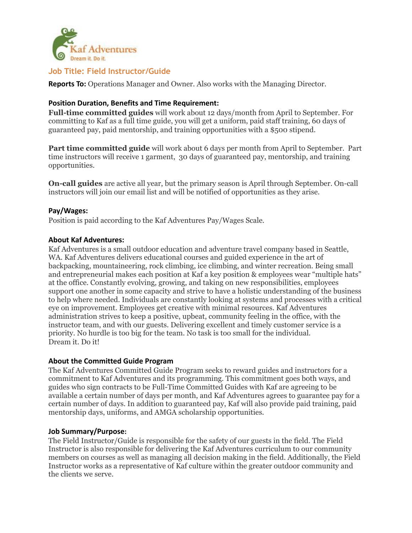

# **Job Title: Field Instructor/Guide**

**Reports To:** Operations Manager and Owner. Also works with the Managing Director.

## **Position Duration, Benefits and Time Requirement:**

**Full-time committed guides** will work about 12 days/month from April to September. For committing to Kaf as a full time guide, you will get a uniform, paid staff training, 60 days of guaranteed pay, paid mentorship, and training opportunities with a \$500 stipend.

**Part time committed guide** will work about 6 days per month from April to September. Part time instructors will receive 1 garment, 30 days of guaranteed pay, mentorship, and training opportunities.

**On-call guides** are active all year, but the primary season is April through September. On-call instructors will join our email list and will be notified of opportunities as they arise.

### **Pay/Wages:**

Position is paid according to the Kaf Adventures Pay/Wages Scale.

### **About Kaf Adventures:**

Kaf Adventures is a small outdoor education and adventure travel company based in Seattle, WA. Kaf Adventures delivers educational courses and guided experience in the art of backpacking, mountaineering, rock climbing, ice climbing, and winter recreation. Being small and entrepreneurial makes each position at Kaf a key position & employees wear "multiple hats" at the office. Constantly evolving, growing, and taking on new responsibilities, employees support one another in some capacity and strive to have a holistic understanding of the business to help where needed. Individuals are constantly looking at systems and processes with a critical eye on improvement. Employees get creative with minimal resources. Kaf Adventures administration strives to keep a positive, upbeat, community feeling in the office, with the instructor team, and with our guests. Delivering excellent and timely customer service is a priority. No hurdle is too big for the team. No task is too small for the individual. Dream it. Do it!

### **About the Committed Guide Program**

The Kaf Adventures Committed Guide Program seeks to reward guides and instructors for a commitment to Kaf Adventures and its programming. This commitment goes both ways, and guides who sign contracts to be Full-Time Committed Guides with Kaf are agreeing to be available a certain number of days per month, and Kaf Adventures agrees to guarantee pay for a certain number of days. In addition to guaranteed pay, Kaf will also provide paid training, paid mentorship days, uniforms, and AMGA scholarship opportunities.

## **Job Summary/Purpose:**

The Field Instructor/Guide is responsible for the safety of our guests in the field. The Field Instructor is also responsible for delivering the Kaf Adventures curriculum to our community members on courses as well as managing all decision making in the field. Additionally, the Field Instructor works as a representative of Kaf culture within the greater outdoor community and the clients we serve.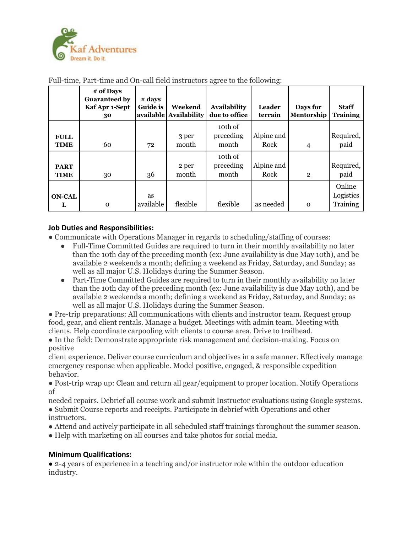

|                            | # of Days<br><b>Guaranteed by</b><br>Kaf Apr 1-Sept<br>30 | # days<br><b>Guide is</b> | Weekend<br>available   Availability | <b>Availability</b><br>due to office | Leader<br>terrain  | Days for<br>Mentorship | <b>Staff</b><br><b>Training</b> |
|----------------------------|-----------------------------------------------------------|---------------------------|-------------------------------------|--------------------------------------|--------------------|------------------------|---------------------------------|
| <b>FULL</b><br><b>TIME</b> | 60                                                        | 72                        | 3 per<br>month                      | 10th of<br>preceding<br>month        | Alpine and<br>Rock | $\overline{4}$         | Required,<br>paid               |
| <b>PART</b><br><b>TIME</b> | 30                                                        | 36                        | 2 per<br>month                      | 10th of<br>preceding<br>month        | Alpine and<br>Rock | $\overline{2}$         | Required,<br>paid               |
| <b>ON-CAL</b><br>L         | $\mathbf 0$                                               | <b>as</b><br>available    | flexible                            | flexible                             | as needed          | $\Omega$               | Online<br>Logistics<br>Training |

Full-time, Part-time and On-call field instructors agree to the following:

## **Job Duties and Responsibilities:**

● Communicate with Operations Manager in regards to scheduling/staffing of courses:

- Full-Time Committed Guides are required to turn in their monthly availability no later than the 10th day of the preceding month (ex: June availability is due May 10th), and be available 2 weekends a month; defining a weekend as Friday, Saturday, and Sunday; as well as all major U.S. Holidays during the Summer Season.
- Part-Time Committed Guides are required to turn in their monthly availability no later than the 10th day of the preceding month (ex: June availability is due May 10th), and be available 2 weekends a month; defining a weekend as Friday, Saturday, and Sunday; as well as all major U.S. Holidays during the Summer Season.

● Pre-trip preparations: All communications with clients and instructor team. Request group food, gear, and client rentals. Manage a budget. Meetings with admin team. Meeting with clients. Help coordinate carpooling with clients to course area. Drive to trailhead.

● In the field: Demonstrate appropriate risk management and decision-making. Focus on positive

client experience. Deliver course curriculum and objectives in a safe manner. Effectively manage emergency response when applicable. Model positive, engaged, & responsible expedition behavior.

● Post-trip wrap up: Clean and return all gear/equipment to proper location. Notify Operations of

needed repairs. Debrief all course work and submit Instructor evaluations using Google systems. ● Submit Course reports and receipts. Participate in debrief with Operations and other instructors.

- Attend and actively participate in all scheduled staff trainings throughout the summer season.
- Help with marketing on all courses and take photos for social media.

# **Minimum Qualifications:**

● 2-4 years of experience in a teaching and/or instructor role within the outdoor education industry.